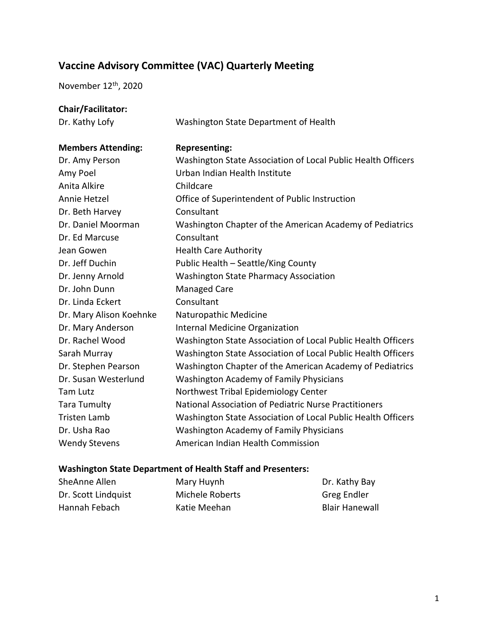# **Vaccine Advisory Committee (VAC) Quarterly Meeting**

November 12<sup>th</sup>, 2020

# **Chair/Facilitator:**

Dr. Kathy Lofy Washington State Department of Health

# **Members Attending: Representing:**  Dr. Amy Person Washington State Association of Local Public Health Officers Amy Poel Urban Indian Health Institute Anita Alkire Childcare Annie Hetzel Office of Superintendent of Public Instruction Dr. Beth Harvey Consultant Dr. Daniel Moorman Washington Chapter of the American Academy of Pediatrics Dr. Ed Marcuse Consultant Jean Gowen **Health Care Authority** Dr. Jeff Duchin Public Health – Seattle/King County Dr. Jenny Arnold Washington State Pharmacy Association Dr. John Dunn Managed Care Dr. Linda Eckert Consultant Dr. Mary Alison Koehnke Naturopathic Medicine Dr. Mary Anderson Internal Medicine Organization Dr. Rachel Wood Washington State Association of Local Public Health Officers Sarah Murray Washington State Association of Local Public Health Officers Dr. Stephen Pearson Washington Chapter of the American Academy of Pediatrics Dr. Susan Westerlund Washington Academy of Family Physicians Tam Lutz **Northwest Tribal Epidemiology Center** Tara Tumulty National Association of Pediatric Nurse Practitioners Tristen Lamb Washington State Association of Local Public Health Officers Dr. Usha Rao Washington Academy of Family Physicians Wendy Stevens **American Indian Health Commission**

#### **Washington State Department of Health Staff and Presenters:**

| SheAnne Allen       | Mary Huynh      | Dr. Kathy Bay         |
|---------------------|-----------------|-----------------------|
| Dr. Scott Lindquist | Michele Roberts | Greg Endler           |
| Hannah Febach       | Katie Meehan    | <b>Blair Hanewall</b> |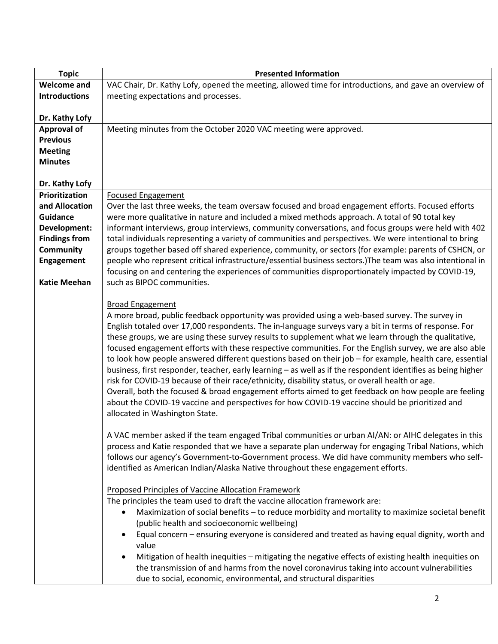| <b>Topic</b>         | <b>Presented Information</b>                                                                                                                                                                                                                                                                                                                                                                                                                                                                                                                                                                                                                                                                                                                                                                                                                                                                                                                                                                                                                                                                                                                                                                                                                                                                                                                                                                                                         |
|----------------------|--------------------------------------------------------------------------------------------------------------------------------------------------------------------------------------------------------------------------------------------------------------------------------------------------------------------------------------------------------------------------------------------------------------------------------------------------------------------------------------------------------------------------------------------------------------------------------------------------------------------------------------------------------------------------------------------------------------------------------------------------------------------------------------------------------------------------------------------------------------------------------------------------------------------------------------------------------------------------------------------------------------------------------------------------------------------------------------------------------------------------------------------------------------------------------------------------------------------------------------------------------------------------------------------------------------------------------------------------------------------------------------------------------------------------------------|
| <b>Welcome and</b>   | VAC Chair, Dr. Kathy Lofy, opened the meeting, allowed time for introductions, and gave an overview of                                                                                                                                                                                                                                                                                                                                                                                                                                                                                                                                                                                                                                                                                                                                                                                                                                                                                                                                                                                                                                                                                                                                                                                                                                                                                                                               |
| <b>Introductions</b> | meeting expectations and processes.                                                                                                                                                                                                                                                                                                                                                                                                                                                                                                                                                                                                                                                                                                                                                                                                                                                                                                                                                                                                                                                                                                                                                                                                                                                                                                                                                                                                  |
|                      |                                                                                                                                                                                                                                                                                                                                                                                                                                                                                                                                                                                                                                                                                                                                                                                                                                                                                                                                                                                                                                                                                                                                                                                                                                                                                                                                                                                                                                      |
| Dr. Kathy Lofy       |                                                                                                                                                                                                                                                                                                                                                                                                                                                                                                                                                                                                                                                                                                                                                                                                                                                                                                                                                                                                                                                                                                                                                                                                                                                                                                                                                                                                                                      |
| <b>Approval of</b>   | Meeting minutes from the October 2020 VAC meeting were approved.                                                                                                                                                                                                                                                                                                                                                                                                                                                                                                                                                                                                                                                                                                                                                                                                                                                                                                                                                                                                                                                                                                                                                                                                                                                                                                                                                                     |
| <b>Previous</b>      |                                                                                                                                                                                                                                                                                                                                                                                                                                                                                                                                                                                                                                                                                                                                                                                                                                                                                                                                                                                                                                                                                                                                                                                                                                                                                                                                                                                                                                      |
| <b>Meeting</b>       |                                                                                                                                                                                                                                                                                                                                                                                                                                                                                                                                                                                                                                                                                                                                                                                                                                                                                                                                                                                                                                                                                                                                                                                                                                                                                                                                                                                                                                      |
| <b>Minutes</b>       |                                                                                                                                                                                                                                                                                                                                                                                                                                                                                                                                                                                                                                                                                                                                                                                                                                                                                                                                                                                                                                                                                                                                                                                                                                                                                                                                                                                                                                      |
|                      |                                                                                                                                                                                                                                                                                                                                                                                                                                                                                                                                                                                                                                                                                                                                                                                                                                                                                                                                                                                                                                                                                                                                                                                                                                                                                                                                                                                                                                      |
| Dr. Kathy Lofy       |                                                                                                                                                                                                                                                                                                                                                                                                                                                                                                                                                                                                                                                                                                                                                                                                                                                                                                                                                                                                                                                                                                                                                                                                                                                                                                                                                                                                                                      |
| Prioritization       | <b>Focused Engagement</b>                                                                                                                                                                                                                                                                                                                                                                                                                                                                                                                                                                                                                                                                                                                                                                                                                                                                                                                                                                                                                                                                                                                                                                                                                                                                                                                                                                                                            |
| and Allocation       | Over the last three weeks, the team oversaw focused and broad engagement efforts. Focused efforts                                                                                                                                                                                                                                                                                                                                                                                                                                                                                                                                                                                                                                                                                                                                                                                                                                                                                                                                                                                                                                                                                                                                                                                                                                                                                                                                    |
| <b>Guidance</b>      | were more qualitative in nature and included a mixed methods approach. A total of 90 total key                                                                                                                                                                                                                                                                                                                                                                                                                                                                                                                                                                                                                                                                                                                                                                                                                                                                                                                                                                                                                                                                                                                                                                                                                                                                                                                                       |
| Development:         | informant interviews, group interviews, community conversations, and focus groups were held with 402                                                                                                                                                                                                                                                                                                                                                                                                                                                                                                                                                                                                                                                                                                                                                                                                                                                                                                                                                                                                                                                                                                                                                                                                                                                                                                                                 |
| <b>Findings from</b> | total individuals representing a variety of communities and perspectives. We were intentional to bring                                                                                                                                                                                                                                                                                                                                                                                                                                                                                                                                                                                                                                                                                                                                                                                                                                                                                                                                                                                                                                                                                                                                                                                                                                                                                                                               |
| <b>Community</b>     | groups together based off shared experience, community, or sectors (for example: parents of CSHCN, or                                                                                                                                                                                                                                                                                                                                                                                                                                                                                                                                                                                                                                                                                                                                                                                                                                                                                                                                                                                                                                                                                                                                                                                                                                                                                                                                |
| Engagement           | people who represent critical infrastructure/essential business sectors.) The team was also intentional in                                                                                                                                                                                                                                                                                                                                                                                                                                                                                                                                                                                                                                                                                                                                                                                                                                                                                                                                                                                                                                                                                                                                                                                                                                                                                                                           |
|                      | focusing on and centering the experiences of communities disproportionately impacted by COVID-19,                                                                                                                                                                                                                                                                                                                                                                                                                                                                                                                                                                                                                                                                                                                                                                                                                                                                                                                                                                                                                                                                                                                                                                                                                                                                                                                                    |
| <b>Katie Meehan</b>  | such as BIPOC communities.                                                                                                                                                                                                                                                                                                                                                                                                                                                                                                                                                                                                                                                                                                                                                                                                                                                                                                                                                                                                                                                                                                                                                                                                                                                                                                                                                                                                           |
|                      | <b>Broad Engagement</b><br>A more broad, public feedback opportunity was provided using a web-based survey. The survey in<br>English totaled over 17,000 respondents. The in-language surveys vary a bit in terms of response. For<br>these groups, we are using these survey results to supplement what we learn through the qualitative,<br>focused engagement efforts with these respective communities. For the English survey, we are also able<br>to look how people answered different questions based on their job - for example, health care, essential<br>business, first responder, teacher, early learning - as well as if the respondent identifies as being higher<br>risk for COVID-19 because of their race/ethnicity, disability status, or overall health or age.<br>Overall, both the focused & broad engagement efforts aimed to get feedback on how people are feeling<br>about the COVID-19 vaccine and perspectives for how COVID-19 vaccine should be prioritized and<br>allocated in Washington State.<br>A VAC member asked if the team engaged Tribal communities or urban Al/AN: or AIHC delegates in this<br>process and Katie responded that we have a separate plan underway for engaging Tribal Nations, which<br>follows our agency's Government-to-Government process. We did have community members who self-<br>identified as American Indian/Alaska Native throughout these engagement efforts. |
|                      | Proposed Principles of Vaccine Allocation Framework<br>The principles the team used to draft the vaccine allocation framework are:<br>Maximization of social benefits - to reduce morbidity and mortality to maximize societal benefit<br>$\bullet$<br>(public health and socioeconomic wellbeing)<br>Equal concern - ensuring everyone is considered and treated as having equal dignity, worth and<br>value<br>Mitigation of health inequities - mitigating the negative effects of existing health inequities on<br>$\bullet$<br>the transmission of and harms from the novel coronavirus taking into account vulnerabilities<br>due to social, economic, environmental, and structural disparities                                                                                                                                                                                                                                                                                                                                                                                                                                                                                                                                                                                                                                                                                                                               |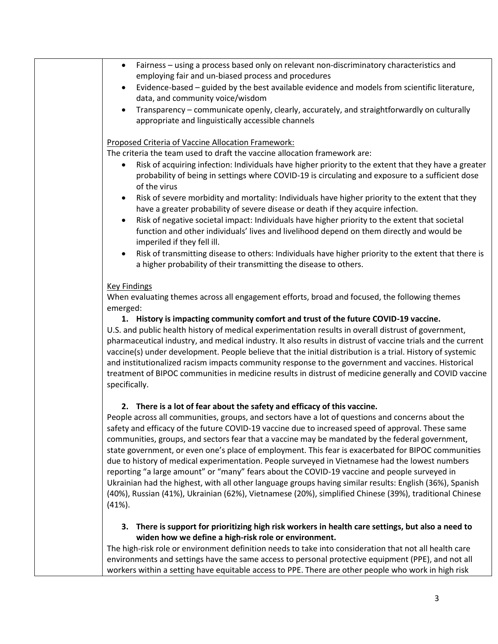| Fairness - using a process based only on relevant non-discriminatory characteristics and<br>$\bullet$                                                                                                                                                                                                                                                                                                                                                                                                                                                                                                                                                                                                                                                                                                                                                  |
|--------------------------------------------------------------------------------------------------------------------------------------------------------------------------------------------------------------------------------------------------------------------------------------------------------------------------------------------------------------------------------------------------------------------------------------------------------------------------------------------------------------------------------------------------------------------------------------------------------------------------------------------------------------------------------------------------------------------------------------------------------------------------------------------------------------------------------------------------------|
| employing fair and un-biased process and procedures                                                                                                                                                                                                                                                                                                                                                                                                                                                                                                                                                                                                                                                                                                                                                                                                    |
| Evidence-based - guided by the best available evidence and models from scientific literature,<br>$\bullet$<br>data, and community voice/wisdom                                                                                                                                                                                                                                                                                                                                                                                                                                                                                                                                                                                                                                                                                                         |
| Transparency - communicate openly, clearly, accurately, and straightforwardly on culturally<br>$\bullet$                                                                                                                                                                                                                                                                                                                                                                                                                                                                                                                                                                                                                                                                                                                                               |
| appropriate and linguistically accessible channels                                                                                                                                                                                                                                                                                                                                                                                                                                                                                                                                                                                                                                                                                                                                                                                                     |
| Proposed Criteria of Vaccine Allocation Framework:                                                                                                                                                                                                                                                                                                                                                                                                                                                                                                                                                                                                                                                                                                                                                                                                     |
| The criteria the team used to draft the vaccine allocation framework are:                                                                                                                                                                                                                                                                                                                                                                                                                                                                                                                                                                                                                                                                                                                                                                              |
| Risk of acquiring infection: Individuals have higher priority to the extent that they have a greater<br>$\bullet$<br>probability of being in settings where COVID-19 is circulating and exposure to a sufficient dose<br>of the virus                                                                                                                                                                                                                                                                                                                                                                                                                                                                                                                                                                                                                  |
| Risk of severe morbidity and mortality: Individuals have higher priority to the extent that they<br>$\bullet$<br>have a greater probability of severe disease or death if they acquire infection.                                                                                                                                                                                                                                                                                                                                                                                                                                                                                                                                                                                                                                                      |
| Risk of negative societal impact: Individuals have higher priority to the extent that societal<br>$\bullet$<br>function and other individuals' lives and livelihood depend on them directly and would be<br>imperiled if they fell ill.                                                                                                                                                                                                                                                                                                                                                                                                                                                                                                                                                                                                                |
| Risk of transmitting disease to others: Individuals have higher priority to the extent that there is<br>$\bullet$<br>a higher probability of their transmitting the disease to others.                                                                                                                                                                                                                                                                                                                                                                                                                                                                                                                                                                                                                                                                 |
| <b>Key Findings</b>                                                                                                                                                                                                                                                                                                                                                                                                                                                                                                                                                                                                                                                                                                                                                                                                                                    |
| When evaluating themes across all engagement efforts, broad and focused, the following themes<br>emerged:                                                                                                                                                                                                                                                                                                                                                                                                                                                                                                                                                                                                                                                                                                                                              |
| 1. History is impacting community comfort and trust of the future COVID-19 vaccine.                                                                                                                                                                                                                                                                                                                                                                                                                                                                                                                                                                                                                                                                                                                                                                    |
| U.S. and public health history of medical experimentation results in overall distrust of government,<br>pharmaceutical industry, and medical industry. It also results in distrust of vaccine trials and the current<br>vaccine(s) under development. People believe that the initial distribution is a trial. History of systemic<br>and institutionalized racism impacts community response to the government and vaccines. Historical<br>treatment of BIPOC communities in medicine results in distrust of medicine generally and COVID vaccine<br>specifically.                                                                                                                                                                                                                                                                                    |
| 2. There is a lot of fear about the safety and efficacy of this vaccine.                                                                                                                                                                                                                                                                                                                                                                                                                                                                                                                                                                                                                                                                                                                                                                               |
| People across all communities, groups, and sectors have a lot of questions and concerns about the<br>safety and efficacy of the future COVID-19 vaccine due to increased speed of approval. These same<br>communities, groups, and sectors fear that a vaccine may be mandated by the federal government,<br>state government, or even one's place of employment. This fear is exacerbated for BIPOC communities<br>due to history of medical experimentation. People surveyed in Vietnamese had the lowest numbers<br>reporting "a large amount" or "many" fears about the COVID-19 vaccine and people surveyed in<br>Ukrainian had the highest, with all other language groups having similar results: English (36%), Spanish<br>(40%), Russian (41%), Ukrainian (62%), Vietnamese (20%), simplified Chinese (39%), traditional Chinese<br>$(41\%).$ |
| There is support for prioritizing high risk workers in health care settings, but also a need to<br>3.                                                                                                                                                                                                                                                                                                                                                                                                                                                                                                                                                                                                                                                                                                                                                  |
| widen how we define a high-risk role or environment.                                                                                                                                                                                                                                                                                                                                                                                                                                                                                                                                                                                                                                                                                                                                                                                                   |
| The high-risk role or environment definition needs to take into consideration that not all health care                                                                                                                                                                                                                                                                                                                                                                                                                                                                                                                                                                                                                                                                                                                                                 |
| environments and settings have the same access to personal protective equipment (PPE), and not all                                                                                                                                                                                                                                                                                                                                                                                                                                                                                                                                                                                                                                                                                                                                                     |
| workers within a setting have equitable access to PPE. There are other people who work in high risk                                                                                                                                                                                                                                                                                                                                                                                                                                                                                                                                                                                                                                                                                                                                                    |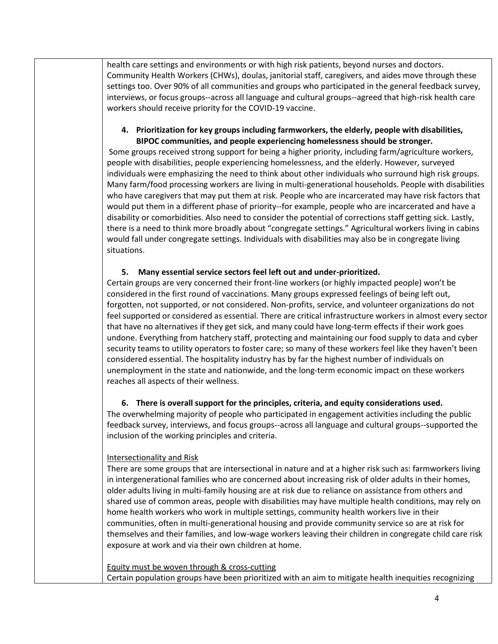health care settings and environments or with high risk patients, beyond nurses and doctors. Community Health Workers (CHWs), doulas, janitorial staff, caregivers, and aides move through these settings too. Over 90% of all communities and groups who participated in the general feedback survey, interviews, or focus groups--across all language and cultural groups--agreed that high-risk health care workers should receive priority for the COVID-19 vaccine.

# **4. Prioritization for key groups including farmworkers, the elderly, people with disabilities, BIPOC communities, and people experiencing homelessness should be stronger.**

Some groups received strong support for being a higher priority, including farm/agriculture workers, people with disabilities, people experiencing homelessness, and the elderly. However, surveyed individuals were emphasizing the need to think about other individuals who surround high risk groups. Many farm/food processing workers are living in multi-generational households. People with disabilities who have caregivers that may put them at risk. People who are incarcerated may have risk factors that would put them in a different phase of priority--for example, people who are incarcerated and have a disability or comorbidities. Also need to consider the potential of corrections staff getting sick. Lastly, there is a need to think more broadly about "congregate settings." Agricultural workers living in cabins would fall under congregate settings. Individuals with disabilities may also be in congregate living situations.

# **5. Many essential service sectors feel left out and under-prioritized.**

Certain groups are very concerned their front-line workers (or highly impacted people) won't be considered in the first round of vaccinations. Many groups expressed feelings of being left out, forgotten, not supported, or not considered. Non-profits, service, and volunteer organizations do not feel supported or considered as essential. There are critical infrastructure workers in almost every sector that have no alternatives if they get sick, and many could have long-term effects if their work goes undone. Everything from hatchery staff, protecting and maintaining our food supply to data and cyber security teams to utility operators to foster care; so many of these workers feel like they haven't been considered essential. The hospitality industry has by far the highest number of individuals on unemployment in the state and nationwide, and the long-term economic impact on these workers reaches all aspects of their wellness.

#### **6. There is overall support for the principles, criteria, and equity considerations used.**

The overwhelming majority of people who participated in engagement activities including the public feedback survey, interviews, and focus groups--across all language and cultural groups--supported the inclusion of the working principles and criteria.

#### Intersectionality and Risk

There are some groups that are intersectional in nature and at a higher risk such as: farmworkers living in intergenerational families who are concerned about increasing risk of older adults in their homes, older adults living in multi-family housing are at risk due to reliance on assistance from others and shared use of common areas, people with disabilities may have multiple health conditions, may rely on home health workers who work in multiple settings, community health workers live in their communities, often in multi-generational housing and provide community service so are at risk for themselves and their families, and low-wage workers leaving their children in congregate child care risk exposure at work and via their own children at home.

Equity must be woven through & cross-cutting Certain population groups have been prioritized with an aim to mitigate health inequities recognizing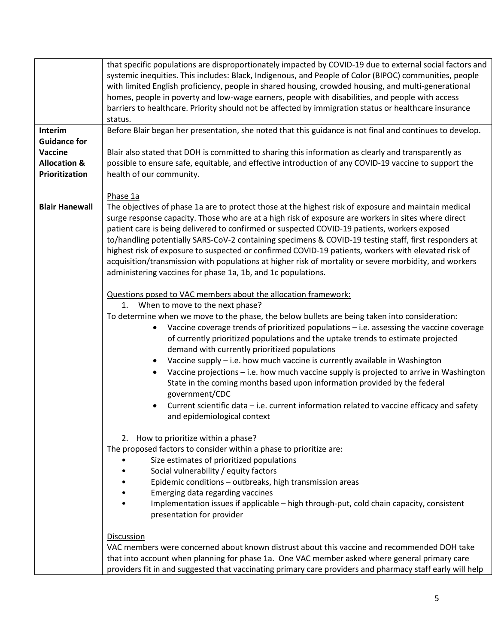|                         | that specific populations are disproportionately impacted by COVID-19 due to external social factors and                                                                                                     |  |
|-------------------------|--------------------------------------------------------------------------------------------------------------------------------------------------------------------------------------------------------------|--|
|                         | systemic inequities. This includes: Black, Indigenous, and People of Color (BIPOC) communities, people                                                                                                       |  |
|                         | with limited English proficiency, people in shared housing, crowded housing, and multi-generational                                                                                                          |  |
|                         | homes, people in poverty and low-wage earners, people with disabilities, and people with access                                                                                                              |  |
|                         | barriers to healthcare. Priority should not be affected by immigration status or healthcare insurance                                                                                                        |  |
|                         | status.                                                                                                                                                                                                      |  |
| Interim                 | Before Blair began her presentation, she noted that this guidance is not final and continues to develop.                                                                                                     |  |
| <b>Guidance for</b>     |                                                                                                                                                                                                              |  |
| Vaccine                 | Blair also stated that DOH is committed to sharing this information as clearly and transparently as                                                                                                          |  |
| <b>Allocation &amp;</b> | possible to ensure safe, equitable, and effective introduction of any COVID-19 vaccine to support the                                                                                                        |  |
| Prioritization          | health of our community.                                                                                                                                                                                     |  |
|                         |                                                                                                                                                                                                              |  |
|                         | Phase 1a                                                                                                                                                                                                     |  |
| <b>Blair Hanewall</b>   | The objectives of phase 1a are to protect those at the highest risk of exposure and maintain medical                                                                                                         |  |
|                         | surge response capacity. Those who are at a high risk of exposure are workers in sites where direct                                                                                                          |  |
|                         | patient care is being delivered to confirmed or suspected COVID-19 patients, workers exposed                                                                                                                 |  |
|                         |                                                                                                                                                                                                              |  |
|                         | to/handling potentially SARS-CoV-2 containing specimens & COVID-19 testing staff, first responders at<br>highest risk of exposure to suspected or confirmed COVID-19 patients, workers with elevated risk of |  |
|                         |                                                                                                                                                                                                              |  |
|                         | acquisition/transmission with populations at higher risk of mortality or severe morbidity, and workers                                                                                                       |  |
|                         | administering vaccines for phase 1a, 1b, and 1c populations.                                                                                                                                                 |  |
|                         |                                                                                                                                                                                                              |  |
|                         | Questions posed to VAC members about the allocation framework:                                                                                                                                               |  |
|                         | 1. When to move to the next phase?                                                                                                                                                                           |  |
|                         | To determine when we move to the phase, the below bullets are being taken into consideration:                                                                                                                |  |
|                         | Vaccine coverage trends of prioritized populations $-$ i.e. assessing the vaccine coverage<br>$\bullet$                                                                                                      |  |
|                         | of currently prioritized populations and the uptake trends to estimate projected                                                                                                                             |  |
|                         | demand with currently prioritized populations                                                                                                                                                                |  |
|                         | Vaccine supply - i.e. how much vaccine is currently available in Washington<br>$\bullet$                                                                                                                     |  |
|                         | Vaccine projections - i.e. how much vaccine supply is projected to arrive in Washington<br>$\bullet$                                                                                                         |  |
|                         | State in the coming months based upon information provided by the federal                                                                                                                                    |  |
|                         | government/CDC                                                                                                                                                                                               |  |
|                         | Current scientific data - i.e. current information related to vaccine efficacy and safety<br>$\bullet$                                                                                                       |  |
|                         | and epidemiological context                                                                                                                                                                                  |  |
|                         |                                                                                                                                                                                                              |  |
|                         | 2. How to prioritize within a phase?                                                                                                                                                                         |  |
|                         | The proposed factors to consider within a phase to prioritize are:                                                                                                                                           |  |
|                         | Size estimates of prioritized populations                                                                                                                                                                    |  |
|                         | Social vulnerability / equity factors                                                                                                                                                                        |  |
|                         | Epidemic conditions - outbreaks, high transmission areas                                                                                                                                                     |  |
|                         | Emerging data regarding vaccines                                                                                                                                                                             |  |
|                         | Implementation issues if applicable - high through-put, cold chain capacity, consistent                                                                                                                      |  |
|                         | presentation for provider                                                                                                                                                                                    |  |
|                         |                                                                                                                                                                                                              |  |
|                         | <b>Discussion</b>                                                                                                                                                                                            |  |
|                         | VAC members were concerned about known distrust about this vaccine and recommended DOH take                                                                                                                  |  |
|                         | that into account when planning for phase 1a. One VAC member asked where general primary care                                                                                                                |  |
|                         | providers fit in and suggested that vaccinating primary care providers and pharmacy staff early will help                                                                                                    |  |